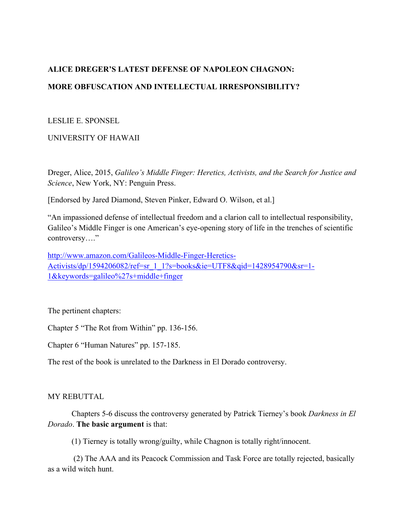# **ALICE DREGER'S LATEST DEFENSE OF NAPOLEON CHAGNON: MORE OBFUSCATION AND INTELLECTUAL IRRESPONSIBILITY?**

### LESLIE E. SPONSEL

## UNIVERSITY OF HAWAII

Dreger, Alice, 2015, *Galileo's Middle Finger: Heretics, Activists, and the Search for Justice and Science*, New York, NY: Penguin Press.

[Endorsed by Jared Diamond, Steven Pinker, Edward O. Wilson, et al.]

"An impassioned defense of intellectual freedom and a clarion call to intellectual responsibility, Galileo's Middle Finger is one American's eye-opening story of life in the trenches of scientific controversy...."

http://www.amazon.com/Galileos-Middle-Finger-Heretics-Activists/dp/1594206082/ref=sr\_1\_1?s=books&ie=UTF8&qid=1428954790&sr=1- 1&keywords=galileo%27s+middle+finger

The pertinent chapters:

Chapter 5 "The Rot from Within" pp. 136-156.

Chapter 6 "Human Natures" pp. 157-185.

The rest of the book is unrelated to the Darkness in El Dorado controversy.

#### MY REBUTTAL

Chapters 5-6 discuss the controversy generated by Patrick Tierney's book *Darkness in El Dorado*. **The basic argument** is that:

(1) Tierney is totally wrong/guilty, while Chagnon is totally right/innocent.

(2) The AAA and its Peacock Commission and Task Force are totally rejected, basically as a wild witch hunt.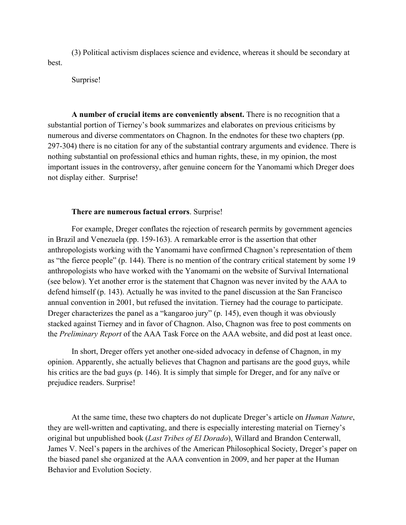(3) Political activism displaces science and evidence, whereas it should be secondary at best.

Surprise!

**A number of crucial items are conveniently absent.** There is no recognition that a substantial portion of Tierney's book summarizes and elaborates on previous criticisms by numerous and diverse commentators on Chagnon. In the endnotes for these two chapters (pp. 297-304) there is no citation for any of the substantial contrary arguments and evidence. There is nothing substantial on professional ethics and human rights, these, in my opinion, the most important issues in the controversy, after genuine concern for the Yanomami which Dreger does not display either. Surprise!

#### **There are numerous factual errors**. Surprise!

For example, Dreger conflates the rejection of research permits by government agencies in Brazil and Venezuela (pp. 159-163). A remarkable error is the assertion that other anthropologists working with the Yanomami have confirmed Chagnon's representation of them as "the fierce people" (p. 144). There is no mention of the contrary critical statement by some 19 anthropologists who have worked with the Yanomami on the website of Survival International (see below). Yet another error is the statement that Chagnon was never invited by the AAA to defend himself (p. 143). Actually he was invited to the panel discussion at the San Francisco annual convention in 2001, but refused the invitation. Tierney had the courage to participate. Dreger characterizes the panel as a "kangaroo jury" (p. 145), even though it was obviously stacked against Tierney and in favor of Chagnon. Also, Chagnon was free to post comments on the *Preliminary Report* of the AAA Task Force on the AAA website, and did post at least once.

In short, Dreger offers yet another one-sided advocacy in defense of Chagnon, in my opinion. Apparently, she actually believes that Chagnon and partisans are the good guys, while his critics are the bad guys (p. 146). It is simply that simple for Dreger, and for any naïve or prejudice readers. Surprise!

At the same time, these two chapters do not duplicate Dreger's article on *Human Nature*, they are well-written and captivating, and there is especially interesting material on Tierney's original but unpublished book (*Last Tribes of El Dorado*), Willard and Brandon Centerwall, James V. Neel's papers in the archives of the American Philosophical Society, Dreger's paper on the biased panel she organized at the AAA convention in 2009, and her paper at the Human Behavior and Evolution Society.